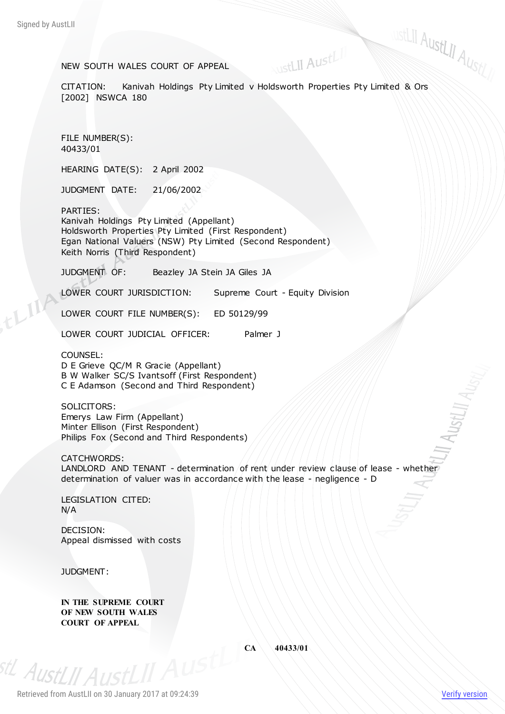# NEW SOUTH WALES COURT OF APPEAL

STELII<br>NEW SOUTH WALES COURT OF APPEAL<br>CITATION: Kanivah Holdings Pty Limited v Holdsworth Properties Pty Limited & Ors [2002] NSWCA 180

NustLII AustLII

FILE NUMBER(S): 40433/01

HEARING DATE(S): 2 April 2002

JUDGMENT DATE: 21/06/2002

PARTIES:

Kanivah Holdings Pty Limited (Appellant) Holdsworth Properties Pty Limited (First Respondent) Egan National Valuers (NSW) Pty Limited (Second Respondent) Keith Norris (Third Respondent)

JUDGMENT OF: Beazley JA Stein JA Giles JA

LOWER COURT JURISDICTION: Supreme Court - Equity Division

LOWER COURT FILE NUMBER(S): ED 50129/99

LOWER COURT JUDICIAL OFFICER: Palmer J

COUNSEL: D E Grieve QC/M R Gracie (Appellant) B W Walker SC/S Ivantsoff (First Respondent) C E Adamson (Second and Third Respondent)

SOLICITORS: Emerys Law Firm (Appellant) Minter Ellison (First Respondent) Philips Fox (Second and Third Respondents)

CATCHWORDS: LANDLORD AND TENANT - determination of rent under review clause of lease - whether determination of valuer was in accordance with the lease - negligence - D

LEGISLATION CITED: N/A

DECISION: Appeal dismissed with costs

JUDGMENT:

<sup>stL</sup> AustLII AustLII

**IN THE SUPREME COURT OF NEW SOUTH WALES COURT OF APPEAL**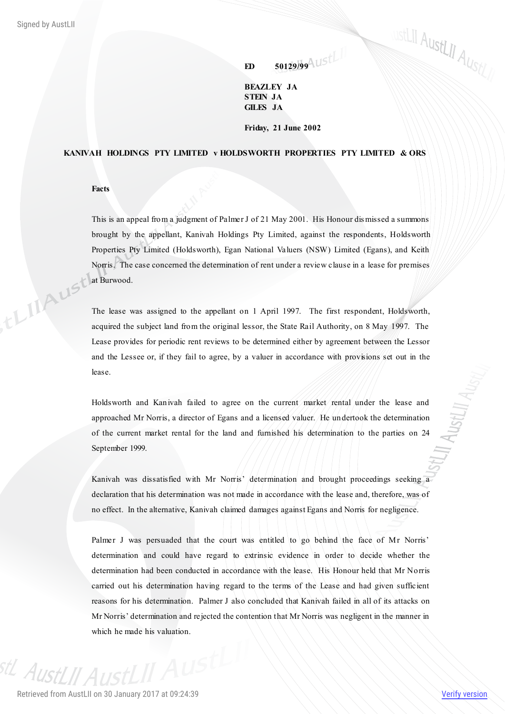**ED 50129/99**

**BEAZLEY JA STEIN JA GILES JA**

## **Friday, 21 June 2002**

# **KANIVAH HOLDINGS PTY LIMITED v HOLDSWORTH PROPERTIES PTY LIMITED & ORS**

**Facts**

This is an appeal from a judgment of Palmer J of 21 May 2001. His Honour dis missed a summons brought by the appellant, Kanivah Holdings Pty Limited, against the respondents, Holdsworth Properties Pty Limited (Holdsworth), Egan National Valuers (NSW) Limited (Egans), and Keith Norris. The case concerned the determination of rent under a review clause in a lease for premises AUSt<sup>lat</sup> Burwood.

The lease was assigned to the appellant on 1 April 1997. The first respondent, Holdsworth, acquired the subject land from the original lessor, the State Rail Authority, on 8 May 1997. The Lease provides for periodic rent reviews to be determined either by agreement between the Lessor and the Lessee or, if they fail to agree, by a valuer in accordance with provisions set out in the lease.

Holdsworth and Kanivah failed to agree on the current market rental under the lease and approached Mr Norris, a director of Egans and a licensed valuer. He undertook the determination of the current market rental for the land and furnished his determination to the parties on 24 September 1999.

Kanivah was dissatisfied with Mr Norris' determination and brought proceedings seeking a declaration that his determination was not made in accordance with the lease and, therefore, was of no effect. In the alternative, Kanivah claimed damages against Egans and Norris for negligence.

Palmer J was persuaded that the court was entitled to go behind the face of Mr Norris' determination and could have regard to extrinsic evidence in order to decide whether the determination had been conducted in accordance with the lease. His Honour held that Mr Norris carried out his determination having regard to the terms of the Lease and had given sufficient reasons for his determination. Palmer J also concluded that Kanivah failed in all of its attacks on Mr Norris' determination and rejected the contention that Mr Norris was negligent in the manner in which he made his valuation.

<sup>st/</sup> Aust/II AustLII Aust

ustLII AustLII AustLII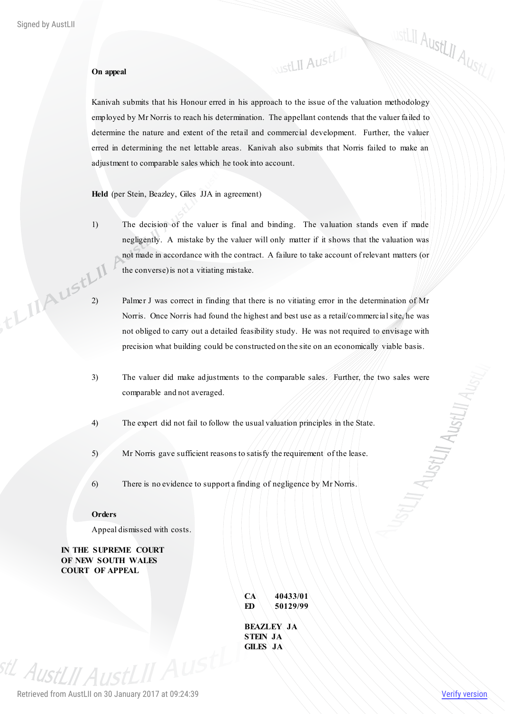## **On appeal**

Kanivah submits that his Honour erred in his approach to the issue of the valuation methodology employed by Mr Norris to reach his determination. The appellant contends that the valuer failed to determine the nature and extent of the retail and commercial development. Further, the valuer erred in determining the net lettable areas. Kanivah also submits that Norris failed to make an adjustment to comparable sales which he took into account.

**NustLII AustLII** 

**Held** (per Stein, Beazley, Giles JJA in agreement)

- 1) The decision of the valuer is final and binding. The valuation stands even if made negligently. A mistake by the valuer will only matter if it shows that the valuation was not made in accordance with the contract. A failure to take account of relevant matters (or the converse) is not a vitiating mistake.
- 2) Palmer J was correct in finding that there is no vitiating error in the determination of Mr<br>Norris. Once Norris had found the highest and box Norris. Once Norris had found the highest and best use as a retail/commercial site, he was not obliged to carry out a detailed feasibility study. He was not required to envisage with precision what building could be constructed on the site on an economically viable basis.
	- 3) The valuer did make adjustments to the comparable sales. Further, the two sales were comparable and not averaged.
	- 4) The expert did not fail to follow the usual valuation principles in the State.
	- 5) Mr Norris gave sufficient reasons to satisfy the requirement of the lease.
	- 6) There is no evidence to support a finding of negligence by Mr Norris.

## **Orders**

Appeal dismissed with costs.

**IN THE SUPREME COURT OF NEW SOUTH WALES COURT OF APPEAL**

| CA              | 40433/01          |
|-----------------|-------------------|
| ED              | 50129/99          |
|                 |                   |
|                 | <b>BEAZLEY JA</b> |
| <b>STEIN JA</b> |                   |
| <b>GILES JA</b> |                   |

<sup>stL</sup> AustLII Aust

ustLII AustLII AustLII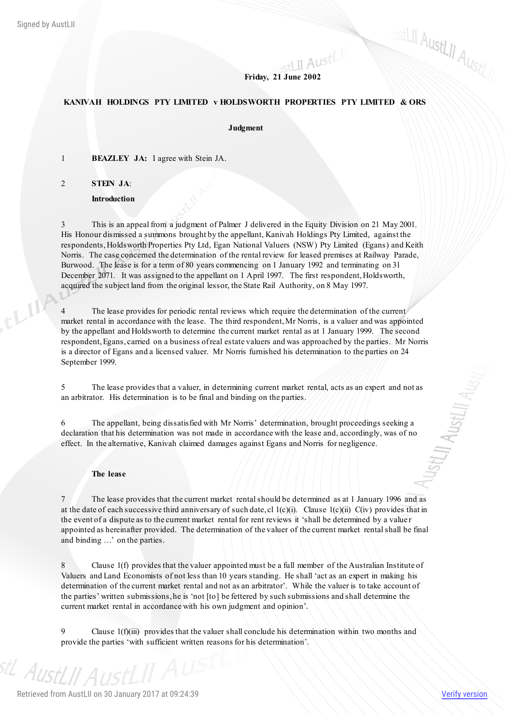# **Friday, 21 June 2002**

# **KANIVAH HOLDINGS PTY LIMITED v HOLDSWORTH PROPERTIES PTY LIMITED & ORS**

#### **Judgment**

1 **BEAZLEY JA:** I agree with Stein JA.

2 **STEIN JA**:

**Introduction**

3 This is an appeal from a judgment of Palmer J delivered in the Equity Division on 21 May 2001. His Honour dismissed a summons brought by the appellant, Kanivah Holdings Pty Limited, against the respondents, Holdsworth Properties Pty Ltd, Egan National Valuers (NSW) Pty Limited (Egans) and Keith Norris. The case concerned the determination of the rental review for leased premises at Railway Parade, Burwood. The lease is for a term of 80 years commencing on 1 January 1992 and terminating on 31 December 2071. It was assigned to the appellant on 1 April 1997. The first respondent, Holdsworth, acquired the subject land from the original lessor, the State Rail Authority, on 8 May 1997.

4 The lease provides for periodic rental reviews which require the determination of the current market rental in accordance with the lease. The third respondent, Mr Norris, is a valuer and was appointed by the appellant and Holdsworth to determine the current market rental as at 1 January 1999. The second respondent, Egans, carried on a business of real estate valuers and was approached by the parties. Mr Norris is a director of Egans and a licensed valuer. Mr Norris furnished his determination to the parties on 24 September 1999.

5 The lease provides that a valuer, in determining current market rental, acts as an expert and not as an arbitrator. His determination is to be final and binding on the parties.

6 The appellant, being dissatisfied with Mr Norris' determination, brought proceedings seeking a declaration that his determination was not made in accordance with the lease and, accordingly, was of no effect. In the alternative, Kanivah claimed damages against Egans and Norris for negligence.

#### **The lease**

7 The lease provides that the current market rental should be determined as at 1 January 1996 and as at the date of each successive third anniversary of such date, cl  $1(c)(i)$ . Clause  $1(c)(ii)$  C(iv) provides that in the event of a dispute as to the current market rental for rent reviews it 'shall be determined by a value r appointed as hereinafter provided. The determination of the valuer of the current market rental shall be final and binding …' on the parties.

8 Clause 1(f) provides that the valuer appointed must be a full member of the Australian Institute of Valuers and Land Economists of not less than 10 years standing. He shall 'act as an expert in making his determination of the current market rental and not as an arbitrator'. While the valuer is to take account of the parties' written submissions, he is 'not [to] be fettered by such submissions and shall determine the current market rental in accordance with his own judgment and opinion'.

9 Clause 1(f)(iii) provides that the valuer shall conclude his determination within two months and provide the parties 'with sufficient written reasons for his determination'.

ustLII AustLII AustLI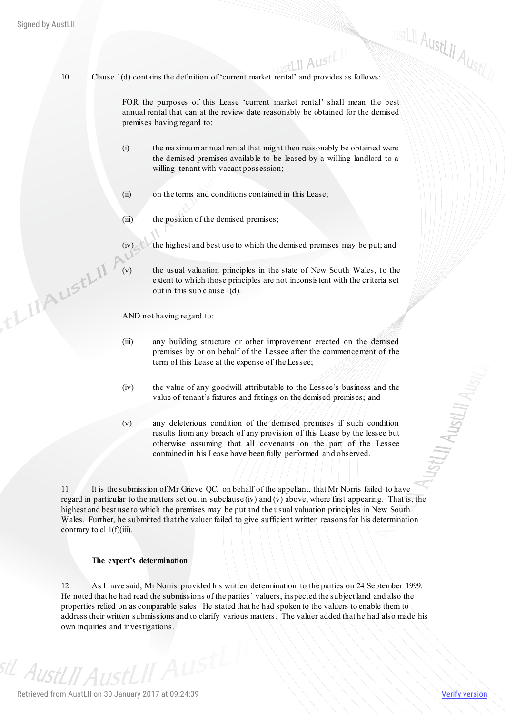TLIAUStLII !

10 Clause 1(d) contains the definition of 'current market rental' and provides as follows:

FOR the purposes of this Lease 'current market rental' shall mean the best annual rental that can at the review date reasonably be obtained for the demised premises having regard to:

- (i) the maximum annual rental that might then reasonably be obtained were the demised premises available to be leased by a willing landlord to a willing tenant with vacant possession;
- (ii) on the terms and conditions contained in this Lease;
- (iii) the position of the demised premises;
	- the highest and best use to which the demised premises may be put; and
	- the usual valuation principles in the state of New South Wales, to the extent to which those principles are not inconsistent with the criteria set out in this sub clause 1(d).

AND not having regard to:

- (iii) any building structure or other improvement erected on the demised premises by or on behalf of the Lessee after the commencement of the term of this Lease at the expense of the Lessee;
- (iv) the value of any goodwill attributable to the Lessee's business and the value of tenant's fixtures and fittings on the demised premises; and
- (v) any deleterious condition of the demised premises if such condition results from any breach of any provision of this Lease by the lessee but otherwise assuming that all covenants on the part of the Lessee contained in his Lease have been fully performed and observed.

11 It is the submission of Mr Grieve QC, on behalf of the appellant, that Mr Norris failed to have regard in particular to the matters set out in subclause (iv) and (v) above, where first appearing. That is, the highest and best use to which the premises may be put and the usual valuation principles in New South Wales. Further, he submitted that the valuer failed to give sufficient written reasons for his determination contrary to cl  $1(f)(iii)$ .

#### **The expert's determination**

12 As I have said, Mr Norris provided his written determination to the parties on 24 September 1999. He noted that he had read the submissions of the parties' valuers, inspected the subject land and also the properties relied on as comparable sales. He stated that he had spoken to the valuers to enable them to address their written submissions and to clarify various matters. The valuer added that he had also made his own inquiries and investigations.

<sup>stl</sup> AustLJJ AustLII AUS

ustLII AustLII AustLI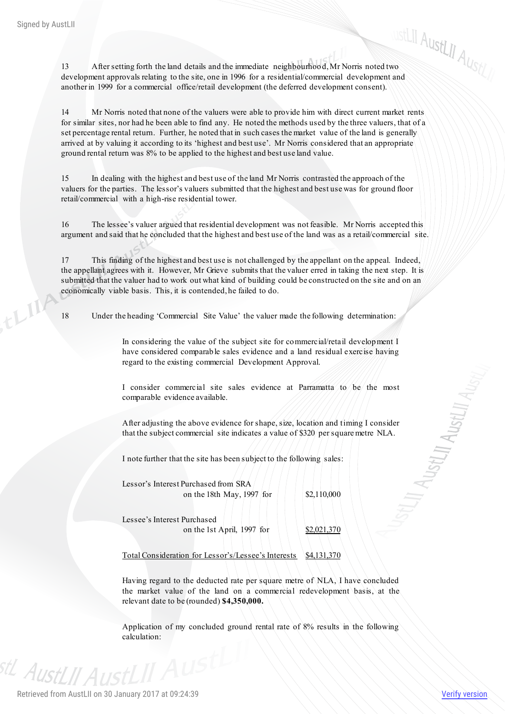$L^{1}$ 

13 After setting forth the land details and the immediate neighbourhood, Mr Norris noted two<br>13 After setting forth the land details and the immediate neighbourhood, Mr Norris noted two development approvals relating to the site, one in 1996 for a residential/commercial development and another in 1999 for a commercial office/retail development (the deferred development consent).

14 Mr Norris noted that none of the valuers were able to provide him with direct current market rents for similar sites, nor had he been able to find any. He noted the methods used by the three valuers, that of a set percentage rental return. Further, he noted that in such cases the market value of the land is generally arrived at by valuing it according to its 'highest and best use'. Mr Norris considered that an appropriate ground rental return was 8% to be applied to the highest and best use land value.

15 In dealing with the highest and best use of the land Mr Norris contrasted the approach of the valuers for the parties. The lessor's valuers submitted that the highest and best use was for ground floor retail/commercial with a high-rise residential tower.

16 The lessee's valuer argued that residential development was not feasible. Mr Norris accepted this argument and said that he concluded that the highest and best use of the land was as a retail/commercial site.

17 This finding of the highest and best use is not challenged by the appellant on the appeal. Indeed, the appellant agrees with it. However, Mr Grieve submits that the valuer erred in taking the next step. It is submitted that the valuer had to work out what kind of building could be constructed on the site and on an economically viable basis. This, it is contended, he failed to do.

18 Under the heading 'Commercial Site Value' the valuer made the following determination:

In considering the value of the subject site for commercial/retail development I have considered comparable sales evidence and a land residual exercise having regard to the existing commercial Development Approval.

I consider commercial site sales evidence at Parramatta to be the most comparable evidence available.

After adjusting the above evidence for shape, size, location and timing I consider that the subject commercial site indicates a value of \$320 per square metre NLA.

I note further that the site has been subject to the following sales:

Lessor's Interest Purchased from SRA on the 18th May, 1997 for  $\vert$  \$2,110,000

Lessee's Interest Purchased

on the 1st April, 1997 for  $$2,021,370$ 

Total Consideration for Lessor's/Lessee's Interests \$4,131,370

Having regard to the deducted rate per square metre of NLA, I have concluded the market value of the land on a commercial redevelopment basis, at the relevant date to be (rounded) **\$4,350,000.**

Application of my concluded ground rental rate of 8% results in the following calculation:

<sup>stL</sup> AustLII Aus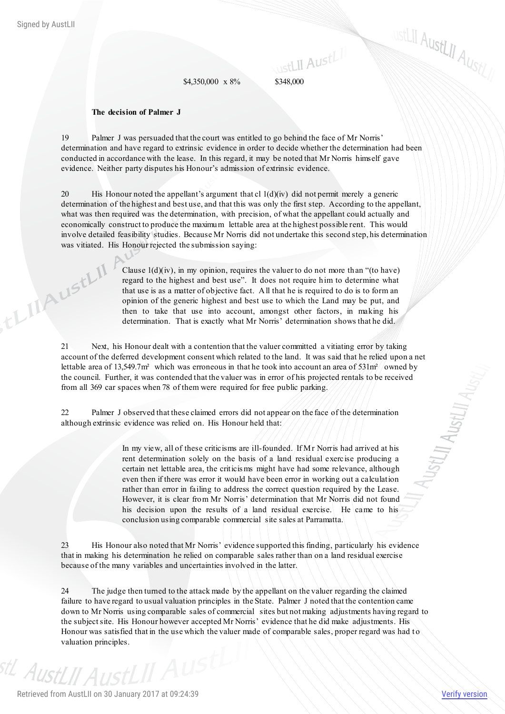, the MAUSELINE

 $$4,350,000 \times 8\%$   $$348,000$ 

#### **The decision of Palmer J**

19 Palmer J was persuaded that the court was entitled to go behind the face of Mr Norris' determination and have regard to extrinsic evidence in order to decide whether the determination had been conducted in accordance with the lease. In this regard, it may be noted that Mr Norris himself gave evidence. Neither party disputes his Honour's admission of extrinsic evidence.

20 His Honour noted the appellant's argument that cl  $1(d)(iv)$  did not permit merely a generic determination of the highest and best use, and that this was only the first step. According to the appellant, what was then required was the determination, with precision, of what the appellant could actually and economically construct to produce the maximum lettable area at the highest possible rent. This would involve detailed feasibility studies. Because Mr Norris did not undertake this second step, his determination was vitiated. His Honour rejected the submission saying:

> Clause  $1(d)(iv)$ , in my opinion, requires the valuer to do not more than "(to have) regard to the highest and best use". It does not require him to determine what that use is as a matter of objective fact. All that he is required to do is to form an opinion of the generic highest and best use to which the Land may be put, and then to take that use into account, amongst other factors, in making his determination. That is exactly what Mr Norris' determination shows that he did.

21 Next, his Honour dealt with a contention that the valuer committed a vitiating error by taking account of the deferred development consent which related to the land. It was said that he relied upon a net lettable area of 13,549.7m<sup>2</sup> which was erroneous in that he took into account an area of 531m<sup>2</sup> owned by the council. Further, it was contended that the valuer was in error of his projected rentals to be received from all 369 car spaces when 78 of them were required for free public parking.

22 Palmer J observed that these claimed errors did not appear on the face of the determination although extrinsic evidence was relied on. His Honour held that:

> In my view, all of these criticisms are ill-founded. If Mr Norris had arrived at his rent determination solely on the basis of a land residual exercise producing a certain net lettable area, the criticis ms might have had some relevance, although even then if there was error it would have been error in working out a calculation rather than error in failing to address the correct question required by the Lease. However, it is clear from Mr Norris' determination that Mr Norris did not found his decision upon the results of a land residual exercise. He came to his conclusion using comparable commercial site sales at Parramatta.

23 His Honour also noted that Mr Norris' evidence supported this finding, particularly his evidence that in making his determination he relied on comparable sales rather than on a land residual exercise because of the many variables and uncertainties involved in the latter.

24 The judge then turned to the attack made by the appellant on the valuer regarding the claimed failure to have regard to usual valuation principles in the State. Palmer J noted that the contention came down to Mr Norris using comparable sales of commercial sites but not making adjustments having regard to the subject site. His Honour however accepted Mr Norris' evidence that he did make adjustments. His Honour was satisfied that in the use which the valuer made of comparable sales, proper regard was had to valuation principles.

ustLII AustL<sub>II AustL/</sub>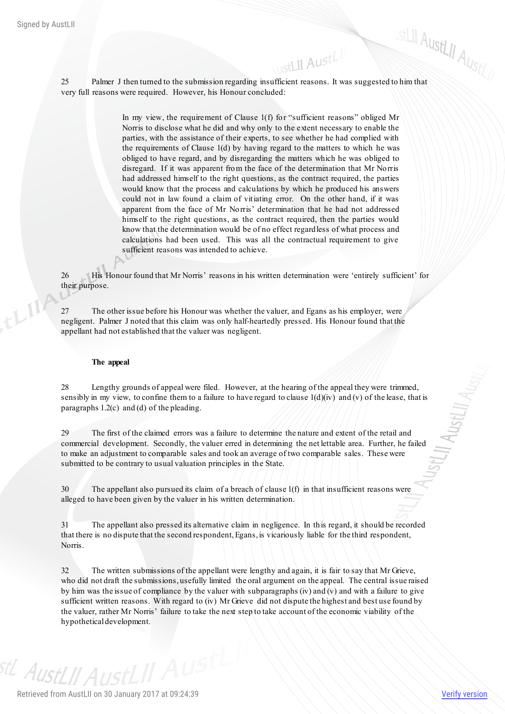EXELII<br>25 Palmer J then turned to the submission regarding insufficient reasons. It was suggested to him that ustLII AustLII very full reasons were required. However, his Honour concluded:

> In my view, the requirement of Clause 1(f) for "sufficient reasons" obliged Mr Norris to disclose what he did and why only to the extent necessary to enable the parties, with the assistance of their experts, to see whether he had complied with the requirements of Clause 1(d) by having regard to the matters to which he was obliged to have regard, and by disregarding the matters which he was obliged to disregard. If it was apparent from the face of the determination that Mr Norris had addressed himself to the right questions, as the contract required, the parties would know that the process and calculations by which he produced his answers could not in law found a claim of vitiating error. On the other hand, if it was apparent from the face of Mr Norris' determination that he had not addressed himself to the right questions, as the contract required, then the parties would know that the determination would be of no effect regardless of what process and calculations had been used. This was all the contractual requirement to give sufficient reasons was intended to achieve.

26 His Honour found that Mr Norris' reasons in his written determination were 'entirely sufficient' for their purpose.

27 The other issue before his Honour was whether the valuer, and Egans as his employer, were negligent. Palmer J noted that this claim was only half-heartedly pressed. His Honour found that the appellant had not established that the valuer was negligent.

# **The appeal**

28 Lengthy grounds of appeal were filed. However, at the hearing of the appeal they were trimmed, sensibly in my view, to confine them to a failure to have regard to clause  $1(d)(iv)$  and (v) of the lease, that is paragraphs 1.2(c) and (d) of the pleading.

29 The first of the claimed errors was a failure to determine the nature and extent of the retail and commercial development. Secondly, the valuer erred in determining the net lettable area. Further, he failed to make an adjustment to comparable sales and took an average of two comparable sales. These were submitted to be contrary to usual valuation principles in the State.

30 The appellant also pursued its claim of a breach of clause 1(f) in that insufficient reasons were alleged to have been given by the valuer in his written determination.

31 The appellant also pressed its alternative claim in negligence. In this regard, it should be recorded that there is no dispute that the second respondent, Egans, is vicariously liable for the third respondent, Norris.

32 The written submissions of the appellant were lengthy and again, it is fair to say that Mr Grieve, who did not draft the submissions, usefully limited the oral argument on the appeal. The central issue raised by him was the issue of compliance by the valuer with subparagraphs (iv) and (v) and with a failure to give sufficient written reasons. With regard to (iv) Mr Grieve did not dispute the highest and best use found by the valuer, rather Mr Norris' failure to take the next step to take account of the economic viability of the hypothetical development.

<sup>stl</sup> AustLJJ AustLII A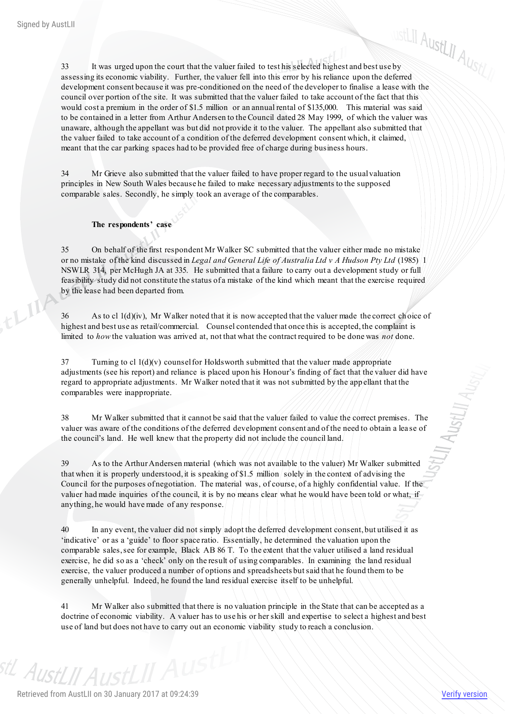$\frac{33}{11}$  It was urged upon the court that the valuer failed to test his selected highest and best use by assessing its economic viability. Further, the valuer fell into this error by his reliance upon the deferred development consent because it was pre-conditioned on the need of the developer to finalise a lease with the council over portion of the site. It was submitted that the valuer failed to take account of the fact that this would cost a premium in the order of \$1.5 million or an annual rental of \$135,000. This material was said to be contained in a letter from Arthur Andersen to the Council dated 28 May 1999, of which the valuer was unaware, although the appellant was but did not provide it to the valuer. The appellant also submitted that the valuer failed to take account of a condition of the deferred development consent which, it claimed, meant that the car parking spaces had to be provided free of charge during business hours.

34 Mr Grieve also submitted that the valuer failed to have proper regard to the usual valuation principles in New South Wales because he failed to make necessary adjustments to the supposed comparable sales. Secondly, he simply took an average of the comparables.

## **The respondents' case**

35 On behalf of the first respondent Mr Walker SC submitted that the valuer either made no mistake or no mistake of the kind discussed in *Legal and General Life of Australia Ltd v A Hudson Pty Ltd* (1985) 1 NSWLR 314, per McHugh JA at 335. He submitted that a failure to carry out a development study or full feasibility study did not constitute the status of a mistake of the kind which meant that the exercise required by the lease had been departed from.

 $36$  As to cl  $1(d)(iv)$ , Mr Walker noted that it is now accepted that the valuer made the correct choice of highest and best use as retail/commercial. Counsel contended that once this is accepted, the complaint is limited to *how* the valuation was arrived at, not that what the contract required to be done was *not* done.

 $37$  Turning to cl  $1(d)(v)$  counsel for Holdsworth submitted that the valuer made appropriate adjustments (see his report) and reliance is placed upon his Honour's finding of fact that the valuer did have regard to appropriate adjustments. Mr Walker noted that it was not submitted by the app ellant that the comparables were inappropriate.

38 Mr Walker submitted that it cannot be said that the valuer failed to value the correct premises. The valuer was aware of the conditions of the deferred development consent and of the need to obtain a lea se of the council's land. He well knew that the property did not include the council land.

39 As to the Arthur Andersen material (which was not available to the valuer) Mr Walker submitted that when it is properly understood, it is speaking of \$1.5 million solely in the context of advising the Council for the purposes of negotiation. The material was, of course, of a highly confidential value. If the valuer had made inquiries of the council, it is by no means clear what he would have been told or what, if anything, he would have made of any response.

40 In any event, the valuer did not simply adopt the deferred development consent, but utilised it as 'indicative' or as a 'guide' to floor space ratio. Essentially, he determined the valuation upon the comparable sales, see for example, Black AB 86 T. To the extent that the valuer utilised a land residual exercise, he did so as a 'check' only on the result of using comparables. In examining the land residual exercise, the valuer produced a number of options and spreadsheets but said that he found them to be generally unhelpful. Indeed, he found the land residual exercise itself to be unhelpful.

41 Mr Walker also submitted that there is no valuation principle in the State that can be accepted as a doctrine of economic viability. A valuer has to use his or her skill and expertise to select a highest and best use of land but does not have to carry out an economic viability study to reach a conclusion.

<sup>stL</sup> AustLII AustLII A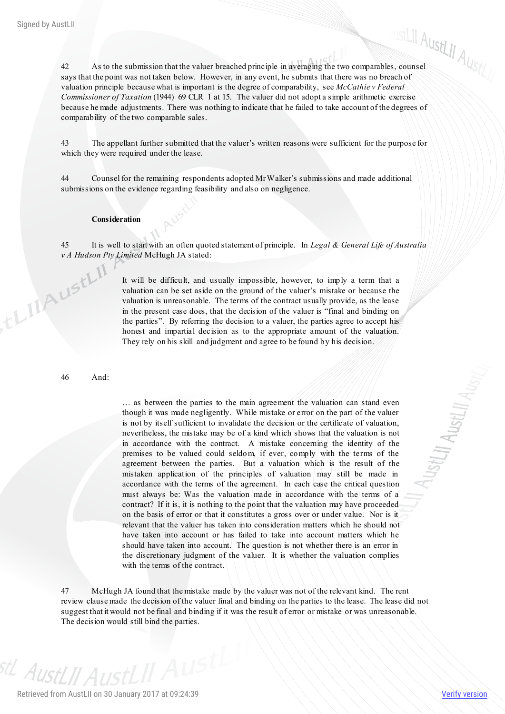42 As to the submission that the valuer breached principle in averaging the two comparables, counsel says that the point was not taken below. However, in any event, he submits that there was no breach of valuation principle because what is important is the degree of comparability, see *McCathie v Federal Commissioner of Taxation* (1944) 69 CLR 1 at 15. The valuer did not adopt a simple arithmetic exercise because he made adjustments. There was nothing to indicate that he failed to take account of the degrees of comparability of the two comparable sales.

43 The appellant further submitted that the valuer's written reasons were sufficient for the purpose for which they were required under the lease.

44 Counsel for the remaining respondents adopted Mr Walker's submissions and made additional submissions on the evidence regarding feasibility and also on negligence.

# **Consideration**

45 It is well to start with an often quoted statement of principle. In *Legal & General Life of Australia* 

*v A Hudson Pty Limited* McHugh JA stated:<br>
It will be difficult, and u<br>
valuation can be set It will be difficult, and usually impossible, however, to imply a term that a valuation can be set aside on the ground of the valuer's mistake or because the valuation is unreasonable. The terms of the contract usually provide, as the lease in the present case does, that the decision of the valuer is "final and binding on the parties". By referring the decision to a valuer, the parties agree to accept his honest and impartial decision as to the appropriate amount of the valuation. They rely on his skill and judgment and agree to be found by his decision.

46 And:

… as between the parties to the main agreement the valuation can stand even though it was made negligently. While mistake or error on the part of the valuer is not by itself sufficient to invalidate the decision or the certificate of valuation, nevertheless, the mistake may be of a kind which shows that the valuation is not in accordance with the contract. A mistake concerning the identity of the premises to be valued could seldom, if ever, comply with the terms of the agreement between the parties. But a valuation which is the result of the mistaken application of the principles of valuation may still be made in accordance with the terms of the agreement. In each case the critical question must always be: Was the valuation made in accordance with the terms of a contract? If it is, it is nothing to the point that the valuation may have proceeded on the basis of error or that it constitutes a gross over or under value. Nor is it relevant that the valuer has taken into consideration matters which he should not have taken into account or has failed to take into account matters which he should have taken into account. The question is not whether there is an error in the discretionary judgment of the valuer. It is whether the valuation complies with the terms of the contract.

47 McHugh JA found that the mistake made by the valuer was not of the relevant kind. The rent review clause made the decision of the valuer final and binding on the parties to the lease. The lease did not suggest that it would not be final and binding if it was the result of error or mistake or was unreasonable. The decision would still bind the parties.

<sup>stL</sup> AustLII AustLII A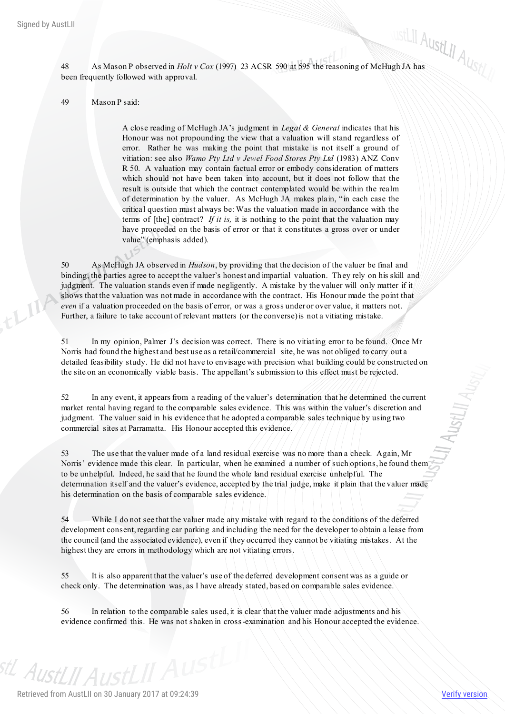48 As Mason P observed in *Holt v Cox* (1997) 23 ACSR 590 at 595 the reasoning of McHugh JA has been frequently followed with approval.

49 Mason P said:

A close reading of McHugh JA's judgment in *Legal & General* indicates that his Honour was not propounding the view that a valuation will stand regardless of error. Rather he was making the point that mistake is not itself a ground of vitiation: see also *Wamo Pty Ltd v Jewel Food Stores Pty Ltd* (1983) ANZ Conv R 50. A valuation may contain factual error or embody consideration of matters which should not have been taken into account, but it does not follow that the result is outside that which the contract contemplated would be within the realm of determination by the valuer. As McHugh JA makes plain, "in each case the critical question must always be: Was the valuation made in accordance with the terms of [the] contract? *If it is,* it is nothing to the point that the valuation may have proceeded on the basis of error or that it constitutes a gross over or under value" (emphasis added).

50 As McHugh JA observed in *Hudson*, by providing that the decision of the valuer be final and binding, the parties agree to accept the valuer's honest and impartial valuation. Th ey rely on his skill and judgment. The valuation stands even if made negligently. A mistake by the valuer will only matter if it shows that the valuation was not made in accordance with the contract. His Honour made the point that *even* if a valuation proceeded on the basis of error, or was a gross under or over value, it matters not. Further, a failure to take account of relevant matters (or the converse) is not a vitiating mistake.

51 In my opinion, Palmer J's decision was correct. There is no vitiating error to be found. Once Mr Norris had found the highest and best use as a retail/commercial site, he was not obliged to carry out a detailed feasibility study. He did not have to envisage with precision what building could be constructed on the site on an economically viable basis. The appellant's submission to this effect must be rejected.

52 In any event, it appears from a reading of the valuer's determination that he determined the current market rental having regard to the comparable sales evidence. This was within the valuer's discretion and judgment. The valuer said in his evidence that he adopted a comparable sales technique by using two commercial sites at Parramatta. His Honour accepted this evidence.

53 The use that the valuer made of a land residual exercise was no more than a check. Again, Mr Norris' evidence made this clear. In particular, when he examined a number of such options, he found them to be unhelpful. Indeed, he said that he found the whole land residual exercise unhelpful. The determination itself and the valuer's evidence, accepted by the trial judge, make it plain that the valuer made his determination on the basis of comparable sales evidence.

54 While I do not see that the valuer made any mistake with regard to the conditions of the deferred development consent, regarding car parking and including the need for the developer to obtain a lease from the council (and the associated evidence), even if they occurred they cannot be vitiating mistakes. At the highest they are errors in methodology which are not vitiating errors.

55 It is also apparent that the valuer's use of the deferred development consent was as a guide or check only. The determination was, as I have already stated, based on comparable sales evidence.

56 In relation to the comparable sales used, it is clear that the valuer made adjustments and his evidence confirmed this. He was not shaken in cross-examination and his Honour accepted the evidence.

<sup>st/</sup> Aust[// Aust[II Aus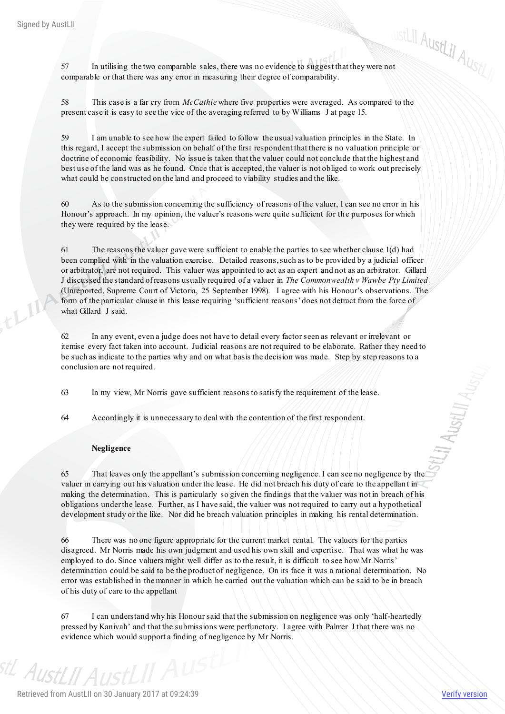$57$  In utilising the two comparable sales, there was no evidence to suggest that they were not  $\mathcal{A}_{\text{U}_S}$ comparable or that there was any error in measuring their degree of comparability.

58 This case is a far cry from *McCathie* where five properties were averaged. As compared to the present case it is easy to see the vice of the averaging referred to by Williams J at page 15.

59 I am unable to see how the expert failed to follow the usual valuation principles in the State. In this regard, I accept the submission on behalf of the first respondent that there is no valuation principle or doctrine of economic feasibility. No issue is taken that the valuer could not conclude that the highest and best use of the land was as he found. Once that is accepted, the valuer is not obliged to work out precisely what could be constructed on the land and proceed to viability studies and the like.

60 As to the submission concerning the sufficiency of reasons of the valuer, I can see no error in his Honour's approach. In my opinion, the valuer's reasons were quite sufficient for th e purposes for which they were required by the lease.

61 The reasons the valuer gave were sufficient to enable the parties to see whether clause 1(d) had been complied with in the valuation exercise. Detailed reasons, such as to be provided by a judicial officer or arbitrator, are not required. This valuer was appointed to act as an expert and not as an arbitrator. Gillard J discussed the standard of reasons usually required of a valuer in *The Commonwealth v Wawbe Pty Limited* (Unreported, Supreme Court of Victoria, 25 September 1998). I agree with his Honour's observations. The form of the particular clause in this lease requiring 'sufficient reasons' does not detract from the force of what Gillard J said.

62 In any event, even a judge does not have to detail every factor seen as relevant or irrelevant or itemise every fact taken into account. Judicial reasons are not required to be elaborate. Rather they need to be such as indicate to the parties why and on what basis the decision was made. Step by step reasons to a conclusion are not required.

63 In my view, Mr Norris gave sufficient reasons to satisfy the requirement of the lease.

64 Accordingly it is unnecessary to deal with the contention of the first respondent.

# **Negligence**

65 That leaves only the appellant's submission concerning negligence. I can see no negligence by the valuer in carrying out his valuation under the lease. He did not breach his duty of care to the appellan t in making the determination. This is particularly so given the findings that the valuer was not in breach of his obligations under the lease. Further, as I have said, the valuer was not required to carry out a hypothetical development study or the like. Nor did he breach valuation principles in making his rental determination.

66 There was no one figure appropriate for the current market rental. The valuers for the parties disagreed. Mr Norris made his own judgment and used his own skill and expertise. That was what he was employed to do. Since valuers might well differ as to the result, it is difficult to see how Mr Norris' determination could be said to be the product of negligence. On its face it was a rational determination. No error was established in the manner in which he carried out the valuation which can be said to be in breach of his duty of care to the appellant

67 I can understand why his Honour said that the submission on negligence was only 'half-heartedly pressed by Kanivah' and that the submissions were perfunctory. I agree with Palmer J that there was no evidence which would support a finding of negligence by Mr Norris.

<sup>stL</sup> AustLII AustLII F